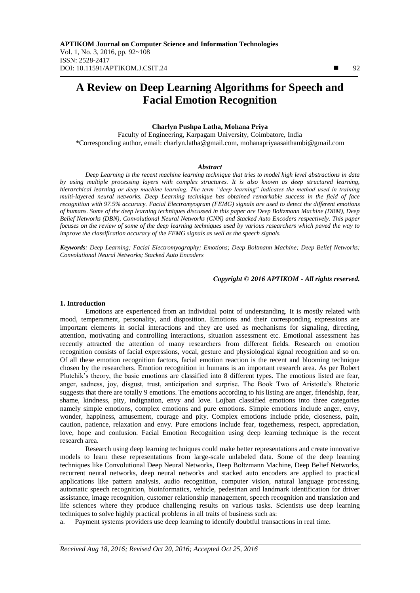# **A Review on Deep Learning Algorithms for Speech and Facial Emotion Recognition**

## **Charlyn Pushpa Latha, Mohana Priya**

Faculty of Engineering, Karpagam University, Coimbatore, India \*Corresponding author, email: charlyn.latha@gmail.com, mohanapriyaasaithambi@gmail.com

#### *Abstract*

*Deep Learning is the recent machine learning technique that tries to model high level abstractions in data by using multiple processing layers with complex structures. It is also known as deep structured learning, hierarchical learning or deep machine learning. The term "deep learning" indicates the method used in training multi-layered neural networks. Deep Learning technique has obtained remarkable success in the field of face recognition with 97.5% accuracy. Facial Electromyogram (FEMG) signals are used to detect the different emotions of humans. Some of the deep learning techniques discussed in this paper are Deep Boltzmann Machine (DBM), Deep Belief Networks (DBN), Convolutional Neural Networks (CNN) and Stacked Auto Encoders respectively. This paper focuses on the review of some of the deep learning techniques used by various researchers which paved the way to improve the classification accuracy of the FEMG signals as well as the speech signals.*

*Keywords: Deep Learning; Facial Electromyography; Emotions; Deep Boltmann Machine; Deep Belief Networks; Convolutional Neural Networks; Stacked Auto Encoders*

#### *Copyright © 2016 APTIKOM - All rights reserved.*

#### **1. Introduction**

Emotions are experienced from an individual point of understanding. It is mostly related with mood, temperament, personality, and disposition. Emotions and their corresponding expressions are important elements in social interactions and they are used as mechanisms for signaling, directing, attention, motivating and controlling interactions, situation assessment etc. Emotional assessment has recently attracted the attention of many researchers from different fields. Research on emotion recognition consists of facial expressions, vocal, gesture and physiological signal recognition and so on. Of all these emotion recognition factors, facial emotion reaction is the recent and blooming technique chosen by the researchers. Emotion recognition in humans is an important research area. As per Robert Plutchik"s theory, the basic emotions are classified into 8 different types. The emotions listed are fear, anger, sadness, joy, disgust, trust, anticipation and surprise. The Book Two of Aristotle"s Rhetoric suggests that there are totally 9 emotions. The emotions according to his listing are anger, friendship, fear, shame, kindness, pity, indignation, envy and love. Lojban classified emotions into three categories namely simple emotions, complex emotions and pure emotions. Simple emotions include anger, envy, wonder, happiness, amusement, courage and pity. Complex emotions include pride, closeness, pain, caution, patience, relaxation and envy. Pure emotions include fear, togetherness, respect, appreciation, love, hope and confusion. Facial Emotion Recognition using deep learning technique is the recent research area.

Research using deep learning techniques could make better representations and create innovative models to learn these representations from large-scale unlabeled data. Some of the deep learning techniques like Convolutional Deep Neural Networks, Deep Boltzmann Machine, Deep Belief Networks, recurrent neural networks, deep neural networks and stacked auto encoders are applied to practical applications like pattern analysis, audio recognition, computer vision, natural language processing, automatic speech recognition, bioinformatics, vehicle, pedestrian and landmark identification for driver assistance, image recognition, customer relationship management, speech recognition and translation and life sciences where they produce challenging results on various tasks. Scientists use deep learning techniques to solve highly practical problems in all traits of business such as:

a. Payment systems providers use deep learning to identify doubtful transactions in real time.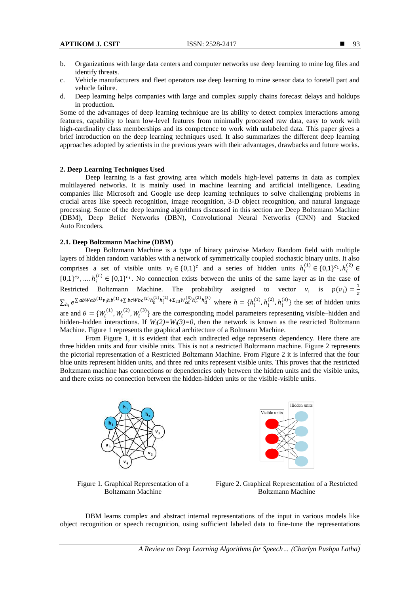- b. Organizations with large data centers and computer networks use deep learning to mine log files and identify threats.
- c. Vehicle manufacturers and fleet operators use deep learning to mine sensor data to foretell part and vehicle failure.
- d. Deep learning helps companies with large and complex supply chains forecast delays and holdups in production.

Some of the advantages of deep learning technique are its ability to detect complex interactions among features, capability to learn low-level features from minimally processed raw data, easy to work with high-cardinality class memberships and its competence to work with unlabeled data. This paper gives a brief introduction on the deep learning techniques used. It also summarizes the different deep learning approaches adopted by scientists in the previous years with their advantages, drawbacks and future works.

## **2. Deep Learning Techniques Used**

Deep learning is a fast growing area which models high-level patterns in data as complex multilayered networks. It is mainly used in machine learning and artificial intelligence. Leading companies like Microsoft and Google use deep learning techniques to solve challenging problems in crucial areas like speech recognition, image recognition, 3-D object recognition, and natural language processing. Some of the deep learning algorithms discussed in this section are Deep Boltzmann Machine (DBM), Deep Belief Networks (DBN), Convolutional Neural Networks (CNN) and Stacked Auto Encoders.

# **2.1. Deep Boltzmann Machine (DBM)**

Deep Boltzmann Machine is a type of binary pairwise Markov Random field with multiple layers of hidden random variables with a network of symmetrically coupled stochastic binary units. It also comprises a set of visible units  $v_i \in \{0,1\}^c$  and a series of hidden units  $h_i^{(1)} \in \{0,1\}^{c_1}, h_i^{(2)} \in$  $\{0,1\}^{c_2}, \ldots, h_i^{(L)} \in \{0,1\}^{c_1}$ . No connection exists between the units of the same layer as in the case of Restricted Boltzmann Machine. The probability assigned to vector *v*, is  $p(v_i) = \frac{1}{2}$ Z  $\sum_{h_i} e^{\sum abWab^{(1)}v_ihb^{(1)} + \sum bcWbc^{(2)}h_b^{(1)}h_i^{(2)} + \Sigma_{cd}W_{cd}^{(3)}h_c^{(2)}h_c}$  $h_i e^{\sum abWab^{(1)}v_ihb^{(1)} + \sum b cWbc^{(2)}h_b^{(1)}h_i^{(2)} + \sum c dW^{(3)}_c h_c^{(2)}h_d^{(3)}}$  where  $h = \{h_i^{(1)}, h_i^{(2)}, h_i^{(3)}\}$  the set of hidden units are and  $\theta = \{W_i^{(1)}, W_i^{(2)}, W_i^{(3)}\}$  are the corresponding model parameters representing visible–hidden and hidden–hidden interactions. If  $W_i(2) = W_i(3) = 0$ , then the network is known as the restricted Boltzmann Machine. Figure 1 represents the graphical architecture of a Boltmann Machine.

From Figure 1, it is evident that each undirected edge represents dependency. Here there are three hidden units and four visible units. This is not a restricted Boltzmann machine. Figure 2 represents the pictorial representation of a Restricted Boltzmann Machine. From Figure 2 it is inferred that the four blue units represent hidden units, and three red units represent visible units. This proves that the restricted Boltzmann machine has connections or dependencies only between the hidden units and the visible units, and there exists no connection between the hidden-hidden units or the visible-visible units.





Figure 1. Graphical Representation of a Boltzmann Machine

Figure 2. Graphical Representation of a Restricted Boltzmann Machine

DBM learns complex and abstract internal representations of the input in various models like object recognition or speech recognition, using sufficient labeled data to fine-tune the representations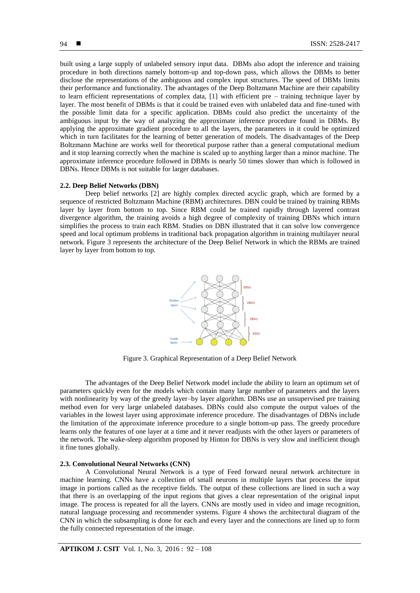built using a large supply of unlabeled sensory input data. DBMs also adopt the inference and training procedure in both directions namely bottom-up and top-down pass, which allows the DBMs to better disclose the representations of the ambiguous and complex input structures. The speed of DBMs limits their performance and functionality. The advantages of the Deep Boltzmann Machine are their capability to learn efficient representations of complex data, [1] with efficient pre – training technique layer by layer. The most benefit of DBMs is that it could be trained even with unlabeled data and fine-tuned with the possible limit data for a specific application. DBMs could also predict the uncertainty of the ambiguous input by the way of analyzing the approximate inference procedure found in DBMs. By applying the approximate gradient procedure to all the layers, the parameters in it could be optimized which in turn facilitates for the learning of better generation of models. The disadvantages of the Deep Boltzmann Machine are works well for theoretical purpose rather than a general computational medium and it stop learning correctly when the machine is scaled up to anything larger than a minor machine. The approximate inference procedure followed in DBMs is nearly 50 times slower than which is followed in DBNs. Hence DBMs is not suitable for larger databases.

#### **2.2. Deep Belief Networks (DBN)**

Deep belief networks [2] are highly complex directed acyclic graph, which are formed by a sequence of restricted Boltzmann Machine (RBM) architectures. DBN could be trained by training RBMs layer by layer from bottom to top. Since RBM could be trained rapidly through layered contrast divergence algorithm, the training avoids a high degree of complexity of training DBNs which inturn simplifies the process to train each RBM. Studies on DBN illustrated that it can solve low convergence speed and local optimum problems in traditional back propagation algorithm in training multilayer neural network. Figure 3 represents the architecture of the Deep Belief Network in which the RBMs are trained layer by layer from bottom to top.



Figure 3. Graphical Representation of a Deep Belief Network

The advantages of the Deep Belief Network model include the ability to learn an optimum set of parameters quickly even for the models which contain many large number of parameters and the layers with nonlinearity by way of the greedy layer–by layer algorithm. DBNs use an unsupervised pre training method even for very large unlabeled databases. DBNs could also compute the output values of the variables in the lowest layer using approximate inference procedure. The disadvantages of DBNs include the limitation of the approximate inference procedure to a single bottom-up pass. The greedy procedure learns only the features of one layer at a time and it never readjusts with the other layers or parameters of the network. The wake-sleep algorithm proposed by Hinton for DBNs is very slow and inefficient though it fine tunes globally.

#### **2.3. Convolutional Neural Networks (CNN)**

A Convolutional Neural Network is a type of Feed forward neural network architecture in machine learning. CNNs have a collection of small neurons in multiple layers that process the input image in portions called as the receptive fields. The output of these collections are lined in such a way that there is an overlapping of the input regions that gives a clear representation of the original input image. The process is repeated for all the layers. CNNs are mostly used in video and image recognition, natural language processing and recommender systems. Figure 4 shows the architectural diagram of the CNN in which the subsampling is done for each and every layer and the connections are lined up to form the fully connected representation of the image.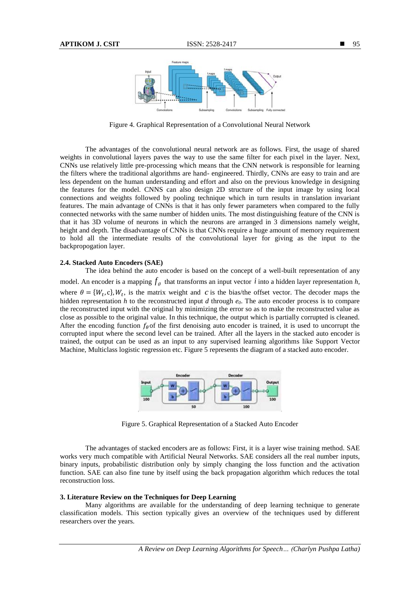

Figure 4. Graphical Representation of a Convolutional Neural Network

The advantages of the convolutional neural network are as follows. First, the usage of shared weights in convolutional layers paves the way to use the same filter for each pixel in the layer. Next, CNNs use relatively little pre-processing which means that the CNN network is responsible for learning the filters where the traditional algorithms are hand- engineered. Thirdly, CNNs are easy to train and are less dependent on the human understanding and effort and also on the previous knowledge in designing the features for the model. CNNS can also design 2D structure of the input image by using local connections and weights followed by pooling technique which in turn results in translation invariant features. The main advantage of CNNs is that it has only fewer parameters when compared to the fully connected networks with the same number of hidden units. The most distinguishing feature of the CNN is that it has 3D volume of neurons in which the neurons are arranged in 3 dimensions namely weight, height and depth. The disadvantage of CNNs is that CNNs require a huge amount of memory requirement to hold all the intermediate results of the convolutional layer for giving as the input to the backpropogation layer.

#### **2.4. Stacked Auto Encoders (SAE)**

The idea behind the auto encoder is based on the concept of a well-built representation of any model. An encoder is a mapping  $f_\theta$  that transforms an input vector i into a hidden layer representation h, where  $\theta = \{W_t, c\}$ ,  $W_t$ , is the matrix weight and c is the bias/the offset vector. The decoder maps the hidden representation *h* to the reconstructed input *d* through  $e_0$ . The auto encoder process is to compare the reconstructed input with the original by minimizing the error so as to make the reconstructed value as close as possible to the original value. In this technique, the output which is partially corrupted is cleaned. After the encoding function  $f_{\theta}$  of the first denoising auto encoder is trained, it is used to uncorrupt the corrupted input where the second level can be trained. After all the layers in the stacked auto encoder is trained, the output can be used as an input to any supervised learning algorithms like Support Vector Machine, Multiclass logistic regression etc. Figure 5 represents the diagram of a stacked auto encoder.



Figure 5. Graphical Representation of a Stacked Auto Encoder

The advantages of stacked encoders are as follows: First, it is a layer wise training method. SAE works very much compatible with Artificial Neural Networks. SAE considers all the real number inputs, binary inputs, probabilistic distribution only by simply changing the loss function and the activation function. SAE can also fine tune by itself using the back propagation algorithm which reduces the total reconstruction loss.

## **3. Literature Review on the Techniques for Deep Learning**

Many algorithms are available for the understanding of deep learning technique to generate classification models. This section typically gives an overview of the techniques used by different researchers over the years.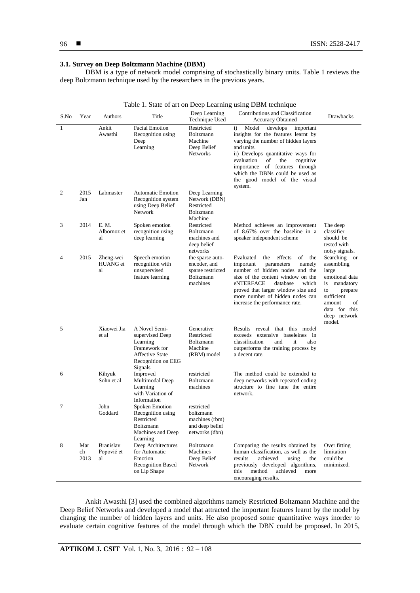# **3.1. Survey on Deep Boltzmann Machine (DBM)**

DBM is a type of network model comprising of stochastically binary units. Table 1 reviews the deep Boltzmann technique used by the researchers in the previous years.

|                | Table 1. State of art on Deep Learning using DBM technique |                                      |                                                                                                                          |                                                                                       |                                                                                                                                                                                                                                                                                                                                          |                                                                                                                                                                    |  |
|----------------|------------------------------------------------------------|--------------------------------------|--------------------------------------------------------------------------------------------------------------------------|---------------------------------------------------------------------------------------|------------------------------------------------------------------------------------------------------------------------------------------------------------------------------------------------------------------------------------------------------------------------------------------------------------------------------------------|--------------------------------------------------------------------------------------------------------------------------------------------------------------------|--|
| S.No           | Year                                                       | Authors                              | Title                                                                                                                    | Deep Learning<br>Technique Used                                                       | Contributions and Classification<br><b>Accuracy Obtained</b>                                                                                                                                                                                                                                                                             | Drawbacks                                                                                                                                                          |  |
| 1              |                                                            | Ankit<br>Awasthi                     | <b>Facial Emotion</b><br>Recognition using<br>Deep<br>Learning                                                           | Restricted<br>Boltzmann<br>Machine<br>Deep Belief<br>Networks                         | $\mathbf{i}$<br>Model<br>develops<br>important<br>insights for the features learnt by<br>varying the number of hidden layers<br>and units.<br>ii) Develops quantitative ways for<br>evaluation<br>of<br>cognitive<br>the<br>importance of features through<br>which the DBNs could be used as<br>the good model of the visual<br>system. |                                                                                                                                                                    |  |
| 2              | 2015<br>Jan                                                | Labmaster                            | <b>Automatic Emotion</b><br>Recognition system<br>using Deep Belief<br><b>Network</b>                                    | Deep Learning<br>Network (DBN)<br>Restricted<br>Boltzmann<br>Machine                  |                                                                                                                                                                                                                                                                                                                                          |                                                                                                                                                                    |  |
| 3              | 2014                                                       | E. M.<br>Albornoz et<br>al           | Spoken emotion<br>recognition using<br>deep learning                                                                     | Restricted<br>Boltzmann<br>machines and<br>deep belief<br>networks                    | Method achieves an improvement<br>of 8.67% over the baseline in a<br>speaker independent scheme                                                                                                                                                                                                                                          | The deep<br>classifier<br>should be<br>tested with<br>noisy signals.                                                                                               |  |
| $\overline{4}$ | 2015                                                       | Zheng-wei<br><b>HUANG</b> et<br>al   | Speech emotion<br>recognition with<br>unsupervised<br>feature learning                                                   | the sparse auto-<br>encoder, and<br>sparse restricted<br><b>Boltzmann</b><br>machines | effects<br>of<br>the<br>Evaluated<br>the<br>important<br>namely<br>parameters<br>number of hidden nodes and the<br>size of the content window on the<br>which<br>eNTERFACE<br>database<br>proved that larger window size and<br>more number of hidden nodes can<br>increase the performance rate.                                        | Searching or<br>assembling<br>large<br>emotional data<br>is<br>mandatory<br>to<br>prepare<br>sufficient<br>amount<br>οf<br>data for this<br>deep network<br>model. |  |
| 5              |                                                            | Xiaowei Jia<br>et al                 | A Novel Semi-<br>supervised Deep<br>Learning<br>Framework for<br><b>Affective State</b><br>Recognition on EEG<br>Signals | Generative<br>Restricted<br>Boltzmann<br>Machine<br>(RBM) model                       | Results reveal that this model<br>exceeds extensive baseleines in<br>classification<br>also<br>and<br>it<br>outperforms the training process by<br>a decent rate.                                                                                                                                                                        |                                                                                                                                                                    |  |
| 6              |                                                            | Kihyuk<br>Sohn et al                 | Improved<br>Multimodal Deep<br>Learning<br>with Variation of<br>Information                                              | restricted<br>Boltzmann<br>machines                                                   | The method could be extended to<br>deep networks with repeated coding<br>structure to fine tune the entire<br>network.                                                                                                                                                                                                                   |                                                                                                                                                                    |  |
| 7              |                                                            | John<br>Goddard                      | Spoken Emotion<br>Recognition using<br>Restricted<br>Boltzmann<br>Machines and Deep<br>Learning                          | restricted<br>boltzmann<br>machines (rbm)<br>and deep belief<br>networks (dbn)        |                                                                                                                                                                                                                                                                                                                                          |                                                                                                                                                                    |  |
| 8              | Mar<br>ch<br>2013                                          | <b>Branislav</b><br>Popović et<br>al | Deep Architectures<br>for Automatic<br>Emotion<br><b>Recognition Based</b><br>on Lip Shape                               | Boltzmann<br>Machines<br>Deep Belief<br>Network                                       | Comparing the results obtained by<br>human classification, as well as the<br>achieved<br>using<br>results<br>the<br>previously developed algorithms,<br>achieved<br>method<br>this<br>more<br>encouraging results.                                                                                                                       | Over fitting<br>limitation<br>could be<br>minimized.                                                                                                               |  |

Ankit Awasthi [3] used the combined algorithms namely Restricted Boltzmann Machine and the Deep Belief Networks and developed a model that attracted the important features learnt by the model by changing the number of hidden layers and units. He also proposed some quantitative ways inorder to evaluate certain cognitive features of the model through which the DBN could be proposed. In 2015,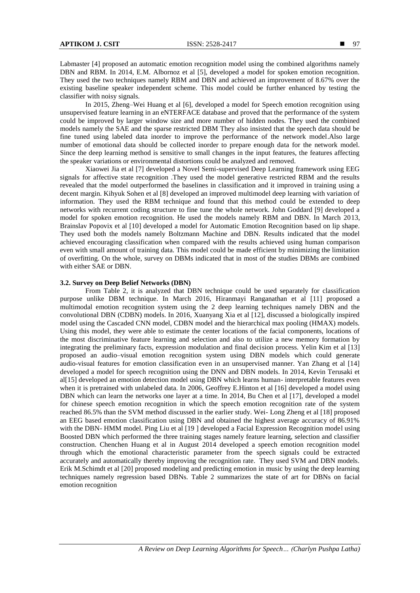Labmaster [4] proposed an automatic emotion recognition model using the combined algorithms namely DBN and RBM. In 2014, E.M. Albornoz et al [5], developed a model for spoken emotion recognition. They used the two techniques namely RBM and DBN and achieved an improvement of 8.67% over the existing baseline speaker independent scheme. This model could be further enhanced by testing the classifier with noisy signals.

In 2015, Zheng–Wei Huang et al [6], developed a model for Speech emotion recognition using unsupervised feature learning in an eNTERFACE database and proved that the performance of the system could be improved by larger window size and more number of hidden nodes. They used the combined models namely the SAE and the sparse restricted DBM They also insisted that the speech data should be fine tuned using labeled data inorder to improve the performance of the network model.Also large number of emotional data should be collected inorder to prepare enough data for the network model. Since the deep learning method is sensitive to small changes in the input features, the features affecting the speaker variations or environmental distortions could be analyzed and removed.

Xiaowei Jia et al [7] developed a Novel Semi-supervised Deep Learning framework using EEG signals for affective state recognition .They used the model generative restricted RBM and the results revealed that the model outperformed the baselines in classification and it improved in training using a decent margin. Kihyuk Sohen et al [8] developed an improved multimodel deep learning with variation of information. They used the RBM technique and found that this method could be extended to deep networks with recurrent coding structure to fine tune the whole network. John Goddard [9] developed a model for spoken emotion recognition. He used the models namely RBM and DBN. In March 2013, Brainslav Popovix et al [10] developed a model for Automatic Emotion Recognition based on lip shape. They used both the models namely Boltzmann Machine and DBN. Results indicated that the model achieved encouraging classification when compared with the results achieved using human comparison even with small amount of training data. This model could be made efficient by minimizing the limitation of overfitting. On the whole, survey on DBMs indicated that in most of the studies DBMs are combined with either SAE or DBN.

## **3.2. Survey on Deep Belief Networks (DBN)**

From Table 2, it is analyzed that DBN technique could be used separately for classification purpose unlike DBM technique. In March 2016, Hiranmayi Ranganathan et al [11] proposed a multimodal emotion recognition system using the 2 deep learning techniques namely DBN and the convolutional DBN (CDBN) models. In 2016, Xuanyang Xia et al [12], discussed a biologically inspired model using the Cascaded CNN model, CDBN model and the hierarchical max pooling (HMAX) models. Using this model, they were able to estimate the center locations of the facial components, locations of the most discriminative feature learning and selection and also to utilize a new memory formation by integrating the preliminary facts, expression modulation and final decision process. Yelin Kim et al [13] proposed an audio–visual emotion recognition system using DBN models which could generate audio-visual features for emotion classification even in an unsupervised manner. Yan Zhang et al [14] developed a model for speech recognition using the DNN and DBN models. In 2014, Kevin Terusaki et al[15] developed an emotion detection model using DBN which learns human- interpretable features even when it is pretrained with unlabeled data. In 2006, Geoffrey E.Hinton et al [16] developed a model using DBN which can learn the networks one layer at a time. In 2014, Bu Chen et al [17], developed a model for chinese speech emotion recognition in which the speech emotion recognition rate of the system reached 86.5% than the SVM method discussed in the earlier study. Wei- Long Zheng et al [18] proposed an EEG based emotion classification using DBN and obtained the highest average accuracy of 86.91% with the DBN- HMM model. Ping Liu et al [19 ] developed a Facial Expression Recognition model using Boosted DBN which performed the three training stages namely feature learning, selection and classifier construction. Chenchen Huang et al in August 2014 developed a speech emotion recognition model through which the emotional characteristic parameter from the speech signals could be extracted accurately and automatically thereby improving the recognition rate. They used SVM and DBN models. Erik M.Schimdt et al [20] proposed modeling and predicting emotion in music by using the deep learning techniques namely regression based DBNs. Table 2 summarizes the state of art for DBNs on facial emotion recognition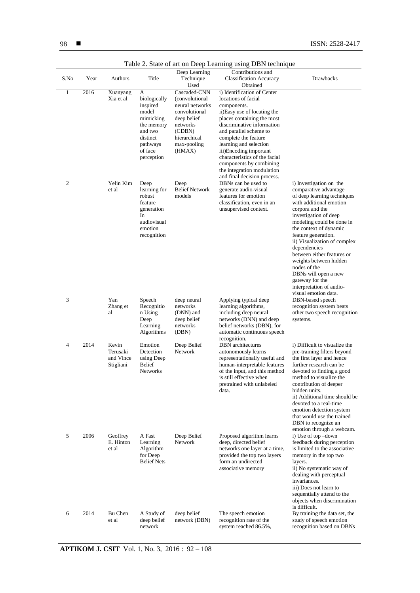|                |      |                                             |                                                                                                                               |                                                                                                                                                   | I able 2. State of art on Deep Learning using DBN technique                                                                                                                                                                                                                                                                                                                                 |                                                                                                                                                                                                                                                                                                                                                                                                                                                             |
|----------------|------|---------------------------------------------|-------------------------------------------------------------------------------------------------------------------------------|---------------------------------------------------------------------------------------------------------------------------------------------------|---------------------------------------------------------------------------------------------------------------------------------------------------------------------------------------------------------------------------------------------------------------------------------------------------------------------------------------------------------------------------------------------|-------------------------------------------------------------------------------------------------------------------------------------------------------------------------------------------------------------------------------------------------------------------------------------------------------------------------------------------------------------------------------------------------------------------------------------------------------------|
| S.No           | Year | Authors                                     | Title                                                                                                                         | Deep Learning<br>Technique<br>Used                                                                                                                | Contributions and<br><b>Classification Accuracy</b><br>Obtained                                                                                                                                                                                                                                                                                                                             | Drawbacks                                                                                                                                                                                                                                                                                                                                                                                                                                                   |
| 1              | 2016 | Xuanyang<br>Xia et al                       | А<br>biologically<br>inspired<br>model<br>mimicking<br>the memory<br>and two<br>distinct<br>pathways<br>of face<br>perception | Cascaded-CNN<br>(convolutional)<br>neural networks<br>convolutional<br>deep belief<br>networks<br>(CDBN)<br>hierarchical<br>max-pooling<br>(HMAX) | i) Identification of Center<br>locations of facial<br>components.<br>ii)Easy use of locating the<br>places containing the most<br>discriminative information<br>and parallel scheme to<br>complete the feature<br>learning and selection<br>iii)Encoding important<br>characteristics of the facial<br>components by combining<br>the integration modulation<br>and final decision process. |                                                                                                                                                                                                                                                                                                                                                                                                                                                             |
| 2              |      | Yelin Kim<br>et al                          | Deep<br>learning for<br>robust<br>feature<br>generation<br>In<br>audiovisual<br>emotion<br>recognition                        | Deep<br><b>Belief Network</b><br>models                                                                                                           | DBNs can be used to<br>generate audio-visual<br>features for emotion<br>classification, even in an<br>unsupervised context.                                                                                                                                                                                                                                                                 | i) Investigation on the<br>comparative advantage<br>of deep learning techniques<br>with additional emotion<br>corpora and the<br>investigation of deep<br>modeling could be done in<br>the context of dynamic<br>feature generation.<br>ii) Visualization of complex<br>dependencies<br>between either features or<br>weights between hidden<br>nodes of the<br>DBNs will open a new<br>gateway for the<br>interpretation of audio-<br>visual emotion data. |
| 3              |      | Yan<br>Zhang et<br>al                       | Speech<br>Recognitio<br>n Using<br>Deep<br>Learning<br>Algorithms                                                             | deep neural<br>networks<br>(DNN) and<br>deep belief<br>networks<br>(DBN)                                                                          | Applying typical deep<br>learning algorithms,<br>including deep neural<br>networks (DNN) and deep<br>belief networks (DBN), for<br>automatic continuous speech<br>recognition.                                                                                                                                                                                                              | DBN-based speech<br>recognition system beats<br>other two speech recognition<br>systems.                                                                                                                                                                                                                                                                                                                                                                    |
| $\overline{4}$ | 2014 | Kevin<br>Terusaki<br>and Vince<br>Stigliani | Emotion<br>Detection<br>using Deep<br><b>Belief</b><br><b>Networks</b>                                                        | Deep Belief<br>Network                                                                                                                            | <b>DBN</b> architectures<br>autonomously learns<br>representationally useful and<br>human-interpretable features<br>of the input, and this method<br>is still effective when<br>pretrained with unlabeled<br>data.                                                                                                                                                                          | i) Difficult to visualize the<br>pre-training filters beyond<br>the first layer and hence<br>further research can be<br>devoted to finding a good<br>method to visualize the<br>contribution of deeper<br>hidden units.<br>ii) Additional time should be<br>devoted to a real-time<br>emotion detection system<br>that would use the trained<br>DBN to recognize an<br>emotion through a webcam.                                                            |
| 5              | 2006 | Geoffrey<br>E. Hinton<br>et al              | A Fast<br>Learning<br>Algorithm<br>for Deep<br><b>Belief Nets</b>                                                             | Deep Belief<br>Network                                                                                                                            | Proposed algorithm learns<br>deep, directed belief<br>networks one layer at a time,<br>provided the top two layers<br>form an undirected<br>associative memory                                                                                                                                                                                                                              | i) Use of top-down<br>feedback during perception<br>is limited to the associative<br>memory in the top two<br>layers.<br>ii) No systematic way of<br>dealing with perceptual<br>invariances.<br>iii) Does not learn to<br>sequentially attend to the<br>objects when discrimination<br>is difficult.                                                                                                                                                        |
| 6              | 2014 | Bu Chen<br>et al                            | A Study of<br>deep belief<br>network                                                                                          | deep belief<br>network (DBN)                                                                                                                      | The speech emotion<br>recognition rate of the<br>system reached 86.5%,                                                                                                                                                                                                                                                                                                                      | By training the data set, the<br>study of speech emotion<br>recognition based on DBNs                                                                                                                                                                                                                                                                                                                                                                       |

Table 2. State of art on Deep Learning using DBN technique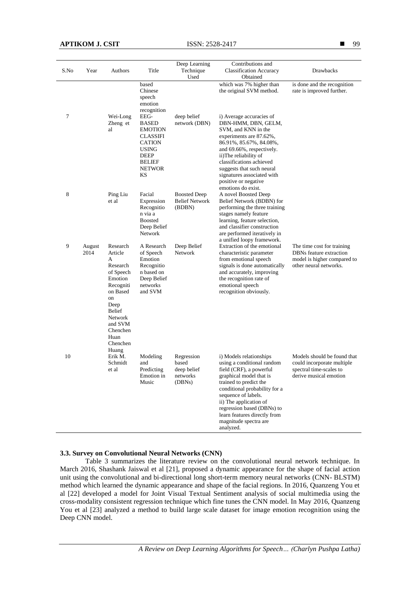| S.No | Year           | Authors                                                                                                                                                                             | Title                                                                                                                                      | Deep Learning<br>Technique                               | Contributions and<br><b>Classification Accuracy</b>                                                                                                                                                                                                                                                                         | Drawbacks                                                                                                      |
|------|----------------|-------------------------------------------------------------------------------------------------------------------------------------------------------------------------------------|--------------------------------------------------------------------------------------------------------------------------------------------|----------------------------------------------------------|-----------------------------------------------------------------------------------------------------------------------------------------------------------------------------------------------------------------------------------------------------------------------------------------------------------------------------|----------------------------------------------------------------------------------------------------------------|
|      |                |                                                                                                                                                                                     |                                                                                                                                            | Used                                                     | Obtained                                                                                                                                                                                                                                                                                                                    |                                                                                                                |
|      |                |                                                                                                                                                                                     | based<br>Chinese<br>speech<br>emotion<br>recognition                                                                                       |                                                          | which was 7% higher than<br>the original SVM method.                                                                                                                                                                                                                                                                        | is done and the recognition<br>rate is improved further.                                                       |
| 7    |                | Wei-Long<br>Zheng et<br>al                                                                                                                                                          | EEG-<br><b>BASED</b><br><b>EMOTION</b><br><b>CLASSIFI</b><br><b>CATION</b><br><b>USING</b><br>DEEP<br><b>BELIEF</b><br><b>NETWOR</b><br>KS | deep belief<br>network (DBN)                             | i) Average accuracies of<br>DBN-HMM, DBN, GELM,<br>SVM, and KNN in the<br>experiments are 87.62%,<br>86.91%, 85.67%, 84.08%,<br>and 69.66%, respectively.<br>ii)The reliability of<br>classifications achieved<br>suggests that such neural<br>signatures associated with<br>positive or negative<br>emotions do exist.     |                                                                                                                |
| 8    |                | Ping Liu<br>et al                                                                                                                                                                   | Facial<br>Expression<br>Recognitio<br>n via a<br><b>Boosted</b><br>Deep Belief<br>Network                                                  | <b>Boosted Deep</b><br><b>Belief Network</b><br>(BDBN)   | A novel Boosted Deep<br>Belief Network (BDBN) for<br>performing the three training<br>stages namely feature<br>learning, feature selection,<br>and classifier construction<br>are performed iteratively in<br>a unified loopy framework.                                                                                    |                                                                                                                |
| 9    | August<br>2014 | Research<br>Article<br>A<br>Research<br>of Speech<br>Emotion<br>Recogniti<br>on Based<br>on<br>Deep<br><b>Belief</b><br>Network<br>and SVM<br>Chenchen<br>Huan<br>Chenchen<br>Huang | A Research<br>of Speech<br>Emotion<br>Recognitio<br>n based on<br>Deep Belief<br>networks<br>and SVM                                       | Deep Belief<br><b>Network</b>                            | Extraction of the emotional<br>characteristic parameter<br>from emotional speech<br>signals is done automatically<br>and accurately, improving<br>the recognition rate of<br>emotional speech<br>recognition obviously.                                                                                                     | The time cost for training<br>DBNs feature extraction<br>model is higher compared to<br>other neural networks. |
| 10   |                | Erik M.<br>Schmidt<br>et al                                                                                                                                                         | Modeling<br>and<br>Predicting<br>Emotion in<br>Music                                                                                       | Regression<br>based<br>deep belief<br>networks<br>(DBNs) | i) Models relationships<br>using a conditional random<br>field (CRF), a powerful<br>graphical model that is<br>trained to predict the<br>conditional probability for a<br>sequence of labels.<br>ii) The application of<br>regression based (DBNs) to<br>learn features directly from<br>magnitude spectra are<br>analyzed. | Models should be found that<br>could incorporate multiple<br>spectral time-scales to<br>derive musical emotion |

## **3.3. Survey on Convolutional Neural Networks (CNN)**

Table 3 summarizes the literature review on the convolutional neural network technique. In March 2016, Shashank Jaiswal et al [21], proposed a dynamic appearance for the shape of facial action unit using the convolutional and bi-directional long short-term memory neural networks (CNN- BLSTM) method which learned the dynamic appearance and shape of the facial regions. In 2016, Quanzeng You et al [22] developed a model for Joint Visual Textual Sentiment analysis of social multimedia using the cross-modality consistent regression technique which fine tunes the CNN model. In May 2016, Quanzeng You et al [23] analyzed a method to build large scale dataset for image emotion recognition using the Deep CNN model.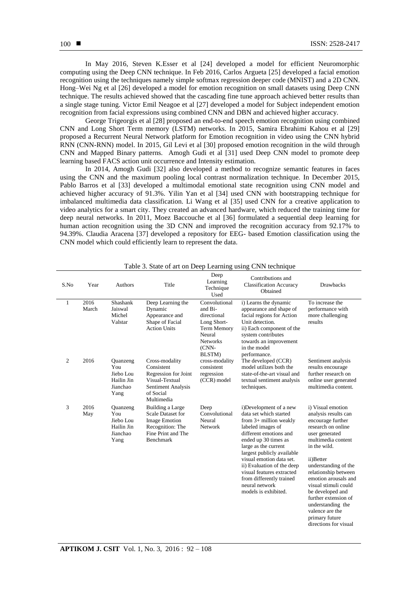In May 2016, Steven K.Esser et al [24] developed a model for efficient Neuromorphic computing using the Deep CNN technique. In Feb 2016, Carlos Argueta [25] developed a facial emotion recognition using the techniques namely simple softmax regression deeper code (MNIST) and a 2D CNN. Hong–Wei Ng et al [26] developed a model for emotion recognition on small datasets using Deep CNN technique. The results achieved showed that the cascading fine tune approach achieved better results than a single stage tuning. Victor Emil Neagoe et al [27] developed a model for Subject independent emotion recognition from facial expressions using combined CNN and DBN and achieved higher accuracy.

George Trigeorgis et al [28] proposed an end-to-end speech emotion recognition using combined CNN and Long Short Term memory (LSTM) networks. In 2015, Samira Ebrahimi Kahou et al [29] proposed a Recurrent Neural Network platform for Emotion recognition in video using the CNN hybrid RNN (CNN-RNN) model. In 2015, Gil Levi et al [30] proposed emotion recognition in the wild through CNN and Mapped Binary patterns. Amogh Gudi et al [31] used Deep CNN model to promote deep learning based FACS action unit occurrence and Intensity estimation.

In 2014, Amogh Gudi [32] also developed a method to recognize semantic features in faces using the CNN and the maximum pooling local contrast normalization technique. In December 2015, Pablo Barros et al [33] developed a multimodal emotional state recognition using CNN model and achieved higher accuracy of 91.3%. Yilin Yan et al [34] used CNN with bootstrapping technique for imbalanced multimedia data classification. Li Wang et al [35] used CNN for a creative application to video analytics for a smart city. They created an advanced hardware, which reduced the training time for deep neural networks. In 2011, Moez Baccouche et al [36] formulated a sequential deep learning for human action recognition using the 3D CNN and improved the recognition accuracy from 92.17% to 94.39%. Claudia Aracena [37] developed a repository for EEG- based Emotion classification using the CNN model which could efficiently learn to represent the data.

| S.No           | Year          | Authors                                                        | Title                                                                                                                          | Deep<br>Learning<br>Technique<br>Used                                                                                   | Contributions and<br><b>Classification Accuracy</b><br>Obtained                                                                                                                                                                                                                                                                                                        | <b>Drawbacks</b>                                                                                                                                                                                                                                                                                                                                                                         |
|----------------|---------------|----------------------------------------------------------------|--------------------------------------------------------------------------------------------------------------------------------|-------------------------------------------------------------------------------------------------------------------------|------------------------------------------------------------------------------------------------------------------------------------------------------------------------------------------------------------------------------------------------------------------------------------------------------------------------------------------------------------------------|------------------------------------------------------------------------------------------------------------------------------------------------------------------------------------------------------------------------------------------------------------------------------------------------------------------------------------------------------------------------------------------|
| 1              | 2016<br>March | Shashank<br>Jaiswal<br>Michel<br>Valstar                       | Deep Learning the<br>Dynamic<br>Appearance and<br>Shape of Facial<br><b>Action Units</b>                                       | Convolutional<br>and Bi-<br>directional<br>Long Short-<br>Term Memory<br>Neural<br><b>Networks</b><br>$(CNN-$<br>BLSTM) | i) Learns the dynamic<br>appearance and shape of<br>facial regions for Action<br>Unit detection.<br>ii) Each component of the<br>system contributes<br>towards an improvement<br>in the model<br>performance.                                                                                                                                                          | To increase the<br>performance with<br>more challenging<br>results                                                                                                                                                                                                                                                                                                                       |
| $\overline{2}$ | 2016          | Quanzeng<br>You<br>Jiebo Lou<br>Hailin Jin<br>Jianchao<br>Yang | Cross-modality<br>Consistent<br>Regression for Joint<br>Visual-Textual<br><b>Sentiment Analysis</b><br>of Social<br>Multimedia | cross-modality<br>consistent<br>regression<br>(CCR) model                                                               | The developed (CCR)<br>model utilizes both the<br>state-of-the-art visual and<br>textual sentiment analysis<br>techniques.                                                                                                                                                                                                                                             | Sentiment analysis<br>results encourage<br>further research on<br>online user generated<br>multimedia content.                                                                                                                                                                                                                                                                           |
| 3              | 2016<br>May   | Quanzeng<br>You<br>Jiebo Lou<br>Hailin Jin<br>Jianchao<br>Yang | Building a Large<br><b>Scale Dataset for</b><br><b>Image Emotion</b><br>Recognition: The<br>Fine Print and The<br>Benchmark    | Deep<br>Convolutional<br>Neural<br><b>Network</b>                                                                       | i)Development of a new<br>data set which started<br>from $3+$ million weakly<br>labeled images of<br>different emotions and<br>ended up 30 times as<br>large as the current<br>largest publicly available<br>visual emotion data set.<br>ii) Evaluation of the deep<br>visual features extracted<br>from differently trained<br>neural network<br>models is exhibited. | i) Visual emotion<br>analysis results can<br>encourage further<br>research on online<br>user generated<br>multimedia content<br>in the wild.<br>ii)Better<br>understanding of the<br>relationship between<br>emotion arousals and<br>visual stimuli could<br>be developed and<br>further extension of<br>understanding the<br>valence are the<br>primary future<br>directions for visual |

Table 3. State of art on Deep Learning using CNN technique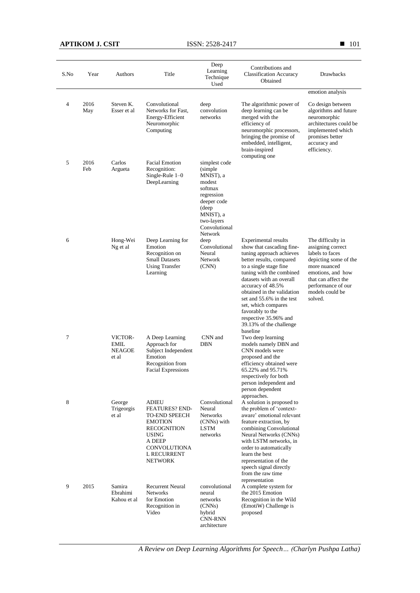**APTIKOM J. CSIT** ISSN: 2528-2417

| S.No           | Year        | Authors                                          | Title                                                                                                                                                              | Deep<br>Learning<br>Technique                                                                                                                                   | Contributions and<br><b>Classification Accuracy</b>                                                                                                                                                                                                                                                                                                                                           | Drawbacks                                                                                                                                                                                          |
|----------------|-------------|--------------------------------------------------|--------------------------------------------------------------------------------------------------------------------------------------------------------------------|-----------------------------------------------------------------------------------------------------------------------------------------------------------------|-----------------------------------------------------------------------------------------------------------------------------------------------------------------------------------------------------------------------------------------------------------------------------------------------------------------------------------------------------------------------------------------------|----------------------------------------------------------------------------------------------------------------------------------------------------------------------------------------------------|
|                |             |                                                  |                                                                                                                                                                    | Used                                                                                                                                                            | Obtained                                                                                                                                                                                                                                                                                                                                                                                      |                                                                                                                                                                                                    |
|                |             |                                                  |                                                                                                                                                                    |                                                                                                                                                                 |                                                                                                                                                                                                                                                                                                                                                                                               | emotion analysis                                                                                                                                                                                   |
| $\overline{4}$ | 2016<br>May | Steven K.<br>Esser et al                         | Convolutional<br>Networks for Fast,<br>Energy-Efficient<br>Neuromorphic<br>Computing                                                                               | deep<br>convolution<br>networks                                                                                                                                 | The algorithmic power of<br>deep learning can be<br>merged with the<br>efficiency of<br>neuromorphic processors,<br>bringing the promise of<br>embedded, intelligent,<br>brain-inspired<br>computing one                                                                                                                                                                                      | Co design between<br>algorithms and future<br>neuromorphic<br>architectures could be<br>implemented which<br>promises better<br>accuracy and<br>efficiency.                                        |
| 5              | 2016<br>Feb | Carlos<br>Argueta                                | <b>Facial Emotion</b><br>Recognition:<br>Single-Rule $1-0$<br>DeepLearning                                                                                         | simplest code<br>(simple)<br>MNIST), a<br>modest<br>softmax<br>regression<br>deeper code<br>(deep<br>MNIST), a<br>two-layers<br>Convolutional<br><b>Network</b> |                                                                                                                                                                                                                                                                                                                                                                                               |                                                                                                                                                                                                    |
| 6              |             | Hong-Wei<br>Ng et al                             | Deep Learning for<br>Emotion<br>Recognition on<br><b>Small Datasets</b><br><b>Using Transfer</b><br>Learning                                                       | deep<br>Convolutional<br>Neural<br>Network<br>(CNN)                                                                                                             | <b>Experimental results</b><br>show that cascading fine-<br>tuning approach achieves<br>better results, compared<br>to a single stage fine<br>tuning with the combined<br>datasets with an overall<br>accuracy of 48.5%<br>obtained in the validation<br>set and 55.6% in the test<br>set, which compares<br>favorably to the<br>respective 35.96% and<br>39.13% of the challenge<br>baseline | The difficulty in<br>assigning correct<br>labels to faces<br>depicting some of the<br>more nuanced<br>emotions, and how<br>that can affect the<br>performance of our<br>models could be<br>solved. |
| 7              |             | VICTOR-<br><b>EMIL</b><br><b>NEAGOE</b><br>et al | A Deep Learning<br>Approach for<br>Subject Independent<br>Emotion<br>Recognition from<br>Facial Expressions                                                        | CNN and<br>DBN                                                                                                                                                  | Two deep learning<br>models namely DBN and<br>CNN models were<br>proposed and the<br>efficiency obtained were<br>65.22% and 95.71%<br>respectively for both<br>person independent and<br>person dependent<br>approaches.                                                                                                                                                                      |                                                                                                                                                                                                    |
| 8              |             | George<br>Trigeorgis<br>et al                    | ADIEU<br><b>FEATURES? END-</b><br><b>TO-END SPEECH</b><br><b>EMOTION</b><br><b>RECOGNITION</b><br>USING<br>A DEEP<br>CONVOLUTIONA<br>L RECURRENT<br><b>NETWORK</b> | Convolutional<br>Neural<br><b>Networks</b><br>(CNNs) with<br>LSTM<br>networks                                                                                   | A solution is proposed to<br>the problem of 'context-<br>aware' emotional relevant<br>feature extraction, by<br>combining Convolutional<br>Neural Networks (CNNs)<br>with LSTM networks, in<br>order to automatically<br>learn the best<br>representation of the<br>speech signal directly<br>from the raw time<br>representation                                                             |                                                                                                                                                                                                    |
| 9              | 2015        | Samira<br>Ebrahimi<br>Kahou et al                | <b>Recurrent Neural</b><br><b>Networks</b><br>for Emotion<br>Recognition in<br>Video                                                                               | convolutional<br>neural<br>networks<br>(CNNs)<br>hybrid<br>CNN-RNN<br>architecture                                                                              | A complete system for<br>the 2015 Emotion<br>Recognition in the Wild<br>(EmotiW) Challenge is<br>proposed                                                                                                                                                                                                                                                                                     |                                                                                                                                                                                                    |

■ 101

*A Review on Deep Learning Algorithms for Speech… (Charlyn Pushpa Latha)*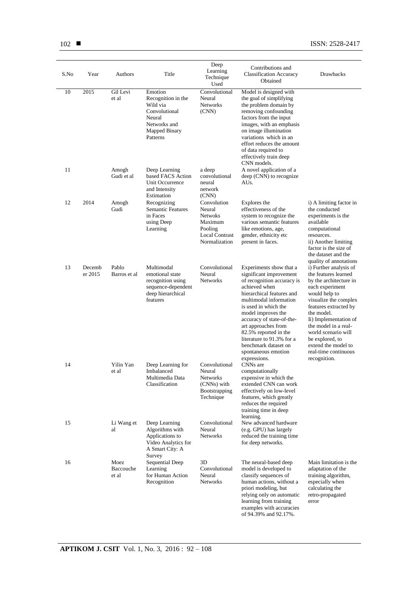| S.No | Year              | Authors                    | Title                                                                                                             | Deep<br>Learning<br>Technique<br>Used                                                                   | Contributions and<br><b>Classification Accuracy</b><br>Obtained                                                                                                                                                                                                                                                                                                                 | Drawbacks                                                                                                                                                                                                                                                                                                                                                        |
|------|-------------------|----------------------------|-------------------------------------------------------------------------------------------------------------------|---------------------------------------------------------------------------------------------------------|---------------------------------------------------------------------------------------------------------------------------------------------------------------------------------------------------------------------------------------------------------------------------------------------------------------------------------------------------------------------------------|------------------------------------------------------------------------------------------------------------------------------------------------------------------------------------------------------------------------------------------------------------------------------------------------------------------------------------------------------------------|
| 10   | 2015              | Gil Levi<br>et al          | Emotion<br>Recognition in the<br>Wild via<br>Convolutional<br>Neural<br>Networks and<br>Mapped Binary<br>Patterns | Convolutional<br>Neural<br><b>Networks</b><br>(CNN)                                                     | Model is designed with<br>the goal of simplifying<br>the problem domain by<br>removing confounding<br>factors from the input<br>images, with an emphasis<br>on image illumination<br>variations which in an<br>effort reduces the amount<br>of data required to<br>effectively train deep<br>CNN models.                                                                        |                                                                                                                                                                                                                                                                                                                                                                  |
| 11   |                   | Amogh<br>Gudi et al        | Deep Learning<br>based FACS Action<br>Unit Occurrence<br>and Intensity<br>Estimation                              | a deep<br>convolutional<br>neural<br>network<br>(CNN)                                                   | A novel application of a<br>deep (CNN) to recognize<br>AUs.                                                                                                                                                                                                                                                                                                                     |                                                                                                                                                                                                                                                                                                                                                                  |
| 12   | 2014              | Amogh<br>Gudi              | Recognizing<br><b>Semantic Features</b><br>in Faces<br>using Deep<br>Learning                                     | Convolution<br>Neural<br><b>Netwoks</b><br>Maximum<br>Pooling<br><b>Local Contrast</b><br>Normalization | Explores the<br>effectiveness of the<br>system to recognize the<br>various semantic features<br>like emotions, age,<br>gender, ethnicity etc<br>present in faces.                                                                                                                                                                                                               | i) A limiting factor in<br>the conducted<br>experiments is the<br>available<br>computational<br>resources.<br>ii) Another limiting<br>factor is the size of<br>the dataset and the                                                                                                                                                                               |
| 13   | Decemb<br>er 2015 | Pablo<br>Barros et al      | Multimodal<br>emotional state<br>recognition using<br>sequence-dependent<br>deep hierarchical<br>features         | Convolutional<br>Neural<br><b>Networks</b>                                                              | Experiments show that a<br>significant improvement<br>of recognition accuracy is<br>achieved when<br>hierarchical features and<br>multimodal information<br>is used in which the<br>model improves the<br>accuracy of state-of-the-<br>art approaches from<br>82.5% reported in the<br>literature to 91.3% for a<br>benchmark dataset on<br>spontaneous emotion<br>expressions. | quality of annotations<br>i) Further analysis of<br>the features learned<br>by the architecture in<br>each experiment<br>would help to<br>visualize the complex<br>features extracted by<br>the model.<br>Ii) Implementation of<br>the model in a real-<br>world scenario will<br>be explored, to<br>extend the model to<br>real-time continuous<br>recognition. |
| 14   |                   | Yilin Yan<br>et al         | Deep Learning for<br>Imbalanced<br>Multimedia Data<br>Classification                                              | Convolutional<br>Neural<br>Networks<br>(CNNs) with<br>Bootstrapping<br>Technique                        | CNNs are<br>computationally<br>expensive in which the<br>extended CNN can work<br>effectively on low-level<br>features, which greatly<br>reduces the required<br>training time in deep<br>learning.                                                                                                                                                                             |                                                                                                                                                                                                                                                                                                                                                                  |
| 15   |                   | Li Wang et<br>al           | Deep Learning<br>Algorithms with<br>Applications to<br>Video Analytics for<br>A Smart City: A<br>Survey           | Convolutional<br>Neural<br>Networks                                                                     | New advanced hardware<br>(e.g. GPU) has largely<br>reduced the training time<br>for deep networks.                                                                                                                                                                                                                                                                              |                                                                                                                                                                                                                                                                                                                                                                  |
| 16   |                   | Moez<br>Baccouche<br>et al | Sequential Deep<br>Learning<br>for Human Action<br>Recognition                                                    | 3D<br>Convolutional<br>Neural<br><b>Networks</b>                                                        | The neural-based deep<br>model is developed to<br>classify sequences of<br>human actions, without a<br>priori modeling, but<br>relying only on automatic<br>learning from training<br>examples with accuracies<br>of 94.39% and 92.17%.                                                                                                                                         | Main limitation is the<br>adaptation of the<br>training algorithm,<br>especially when<br>calculating the<br>retro-propagated<br>error                                                                                                                                                                                                                            |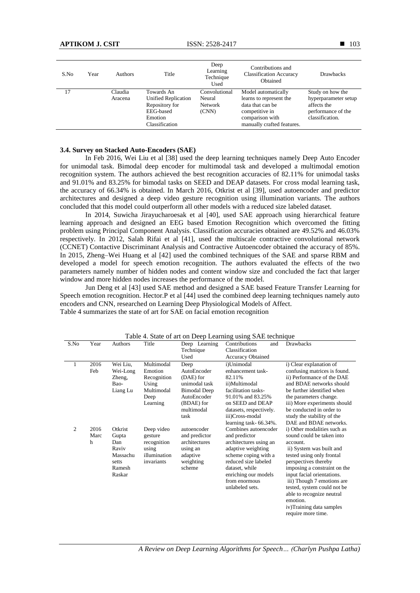| S.No | Year | <b>Authors</b>     | Title                                                                                                | Deep<br>Learning<br>Technique<br>Used       | Contributions and<br><b>Classification Accuracy</b><br>Obtained                                                                       | <b>Drawbacks</b>                                                                                 |
|------|------|--------------------|------------------------------------------------------------------------------------------------------|---------------------------------------------|---------------------------------------------------------------------------------------------------------------------------------------|--------------------------------------------------------------------------------------------------|
| 17   |      | Claudia<br>Aracena | Towards An<br><b>Unified Replication</b><br>Repository for<br>EEG-based<br>Emotion<br>Classification | Convolutional<br>Neural<br>Network<br>(CNN) | Model automatically<br>learns to represent the<br>data that can be<br>competitive in<br>comparison with<br>manually crafted features. | Study on how the<br>hyperparameter setup<br>affects the<br>performance of the<br>classification. |

## **3.4. Survey on Stacked Auto-Encoders (SAE)**

In Feb 2016, Wei Liu et al [38] used the deep learning techniques namely Deep Auto Encoder for unimodal task. Bimodal deep encoder for multimodal task and developed a multimodal emotion recognition system. The authors achieved the best recognition accuracies of 82.11% for unimodal tasks and 91.01% and 83.25% for bimodal tasks on SEED and DEAP datasets. For cross modal learning task, the accuracy of 66.34% is obtained. In March 2016, Otkrist et al [39], used autoencoder and predictor architectures and designed a deep video gesture recognition using illumination variants. The authors concluded that this model could outperform all other models with a reduced size labeled dataset.

In 2014, Suwicha Jirayucharoesak et al [40], used SAE approach using hierarchical feature learning approach and designed an EEG based Emotion Recognition which overcomed the fitting problem using Principal Component Analysis. Classification accuracies obtained are 49.52% and 46.03% respectively. In 2012, Salah Rifai et al [41], used the multiscale contractive convolutional network (CCNET) Contactive Discriminant Analysis and Contractive Autoencoder obtained the accuracy of 85%. In 2015, Zheng–Wei Huang et al [42] used the combined techniques of the SAE and sparse RBM and developed a model for speech emotion recognition. The authors evaluated the effects of the two parameters namely number of hidden nodes and content window size and concluded the fact that larger window and more hidden nodes increases the performance of the model.

Jun Deng et al [43] used SAE method and designed a SAE based Feature Transfer Learning for Speech emotion recognition. Hector.P et al [44] used the combined deep learning techniques namely auto encoders and CNN, researched on Learning Deep Physiological Models of Affect. Table 4 summarizes the state of art for SAE on facial emotion recognition

| Year              | Authors                                                                   | Title                                                                       | Deep Learning                                                                                | Contributions<br>and                                                                                                                                                                                                | <b>Drawbacks</b>                                                                                                                                                                                                                                                                                                                                                            |
|-------------------|---------------------------------------------------------------------------|-----------------------------------------------------------------------------|----------------------------------------------------------------------------------------------|---------------------------------------------------------------------------------------------------------------------------------------------------------------------------------------------------------------------|-----------------------------------------------------------------------------------------------------------------------------------------------------------------------------------------------------------------------------------------------------------------------------------------------------------------------------------------------------------------------------|
|                   |                                                                           |                                                                             |                                                                                              |                                                                                                                                                                                                                     |                                                                                                                                                                                                                                                                                                                                                                             |
|                   |                                                                           |                                                                             |                                                                                              | <b>Accuracy Obtained</b>                                                                                                                                                                                            |                                                                                                                                                                                                                                                                                                                                                                             |
| 2016              | Wei Liu,                                                                  | Multimodal                                                                  | Deep                                                                                         | i)Unimodal                                                                                                                                                                                                          | i) Clear explanation of<br>confusing matrices is found.                                                                                                                                                                                                                                                                                                                     |
|                   |                                                                           |                                                                             |                                                                                              |                                                                                                                                                                                                                     | ii) Performance of the DAE                                                                                                                                                                                                                                                                                                                                                  |
|                   |                                                                           |                                                                             |                                                                                              |                                                                                                                                                                                                                     | and BDAE networks should                                                                                                                                                                                                                                                                                                                                                    |
|                   |                                                                           |                                                                             |                                                                                              |                                                                                                                                                                                                                     | be further identified when                                                                                                                                                                                                                                                                                                                                                  |
|                   |                                                                           |                                                                             |                                                                                              |                                                                                                                                                                                                                     | the parameters change.                                                                                                                                                                                                                                                                                                                                                      |
|                   |                                                                           |                                                                             |                                                                                              |                                                                                                                                                                                                                     | iii) More experiments should                                                                                                                                                                                                                                                                                                                                                |
|                   |                                                                           |                                                                             |                                                                                              |                                                                                                                                                                                                                     | be conducted in order to                                                                                                                                                                                                                                                                                                                                                    |
|                   |                                                                           |                                                                             |                                                                                              |                                                                                                                                                                                                                     | study the stability of the                                                                                                                                                                                                                                                                                                                                                  |
|                   |                                                                           |                                                                             |                                                                                              |                                                                                                                                                                                                                     | DAE and BDAE networks.                                                                                                                                                                                                                                                                                                                                                      |
| 2016<br>Marc<br>h | Otkrist<br>Gupta<br>Dan<br>Raviv<br>Massachu<br>setts<br>Ramesh<br>Raskar | Deep video<br>gesture<br>recognition<br>using<br>illumination<br>invariants | autoencoder<br>and predictor<br>architectures<br>using an<br>adaptive<br>weighting<br>scheme | Combines autoencoder<br>and predictor<br>architectures using an<br>adaptive weighting<br>scheme coping with a<br>reduced size labeled<br>dataset, while<br>enriching our models<br>from enormous<br>unlabeled sets. | i) Other modalities such as<br>sound could be taken into<br>account.<br>ii) System was built and<br>tested using only frontal<br>perspectives thereby<br>imposing a constraint on the<br>input facial orientations.<br>iii) Though 7 emotions are<br>tested, system could not be<br>able to recognize neutral<br>emotion.<br>iv)Training data samples<br>require more time. |
|                   | Feb                                                                       | Wei-Long<br>Zheng,<br>Bao-<br>Liang Lu                                      | Emotion<br>Recognition<br>Using<br>Multimodal<br>Deep<br>Learning                            | Technique<br>Used<br>AutoEncoder<br>(DAE) for<br>unimodal task<br><b>Bimodal Deep</b><br>AutoEncoder<br>(BDAE) for<br>multimodal<br>task                                                                            | $1400$ $\sigma$ . Blate of art on Deep Learning using $97\Omega$ to terminate<br>Classification<br>enhancement task-<br>82.11%<br>ii)Multimodal<br>facilitation tasks-<br>91.01% and 83.25%<br>on SEED and DEAP<br>datasets, respectively.<br>iii)Cross-modal<br>learning task-66.34%.                                                                                      |

Table 4. State of art on Deep Learning using SAE technique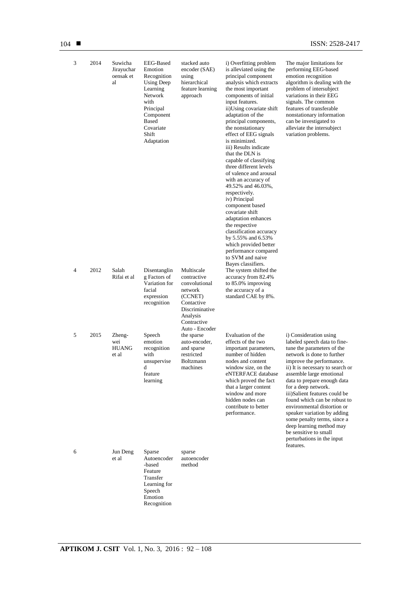| 3 | 2014 | Suwicha<br>Jirayuchar<br>oensak et<br>al | <b>EEG-Based</b><br>Emotion<br>Recognition<br>Using Deep<br>Learning<br>Network<br>with<br>Principal<br>Component<br><b>Based</b><br>Covariate<br>Shift<br>Adaptation | stacked auto<br>encoder (SAE)<br>using<br>hierarchical<br>feature learning<br>approach                                                        | i) Overfitting problem<br>is alleviated using the<br>principal component<br>analysis which extracts<br>the most important<br>components of initial<br>input features.<br>ii)Using covariate shift<br>adaptation of the<br>principal components,<br>the nonstationary<br>effect of EEG signals<br>is minimized.<br>iii) Results indicate<br>that the DLN is<br>capable of classifying<br>three different levels<br>of valence and arousal<br>with an accuracy of<br>49.52% and 46.03%,<br>respectively.<br>iv) Principal<br>component based<br>covariate shift<br>adaptation enhances<br>the respective<br>classification accuracy<br>by 5.55% and 6.53%<br>which provided better<br>performance compared<br>to SVM and naive | The major limitations for<br>performing EEG-based<br>emotion recognition<br>algorithm is dealing with the<br>problem of intersubject<br>variations in their EEG<br>signals. The common<br>features of transferable<br>nonstationary information<br>can be investigated to<br>alleviate the intersubject<br>variation problems.                                                                                                                                                                                                     |
|---|------|------------------------------------------|-----------------------------------------------------------------------------------------------------------------------------------------------------------------------|-----------------------------------------------------------------------------------------------------------------------------------------------|------------------------------------------------------------------------------------------------------------------------------------------------------------------------------------------------------------------------------------------------------------------------------------------------------------------------------------------------------------------------------------------------------------------------------------------------------------------------------------------------------------------------------------------------------------------------------------------------------------------------------------------------------------------------------------------------------------------------------|------------------------------------------------------------------------------------------------------------------------------------------------------------------------------------------------------------------------------------------------------------------------------------------------------------------------------------------------------------------------------------------------------------------------------------------------------------------------------------------------------------------------------------|
| 4 | 2012 | Salah<br>Rifai et al                     | Disentanglin<br>g Factors of<br>Variation for<br>facial<br>expression<br>recognition                                                                                  | Multiscale<br>contractive<br>convolutional<br>network<br>(CCNET)<br>Contactive<br>Discriminative<br>Analysis<br>Contractive<br>Auto - Encoder | Bayes classifiers.<br>The system shifted the<br>accuracy from 82.4%<br>to 85.0% improving<br>the accuracy of a<br>standard CAE by 8%.                                                                                                                                                                                                                                                                                                                                                                                                                                                                                                                                                                                        |                                                                                                                                                                                                                                                                                                                                                                                                                                                                                                                                    |
| 5 | 2015 | Zheng-<br>wei<br><b>HUANG</b><br>et al   | Speech<br>emotion<br>recognition<br>with<br>unsupervise<br>d<br>feature<br>learning                                                                                   | the sparse<br>auto-encoder,<br>and sparse<br>restricted<br><b>Boltzmann</b><br>machines                                                       | Evaluation of the<br>effects of the two<br>important parameters,<br>number of hidden<br>nodes and content<br>window size, on the<br>eNTERFACE database<br>which proved the fact<br>that a larger content<br>window and more<br>hidden nodes can<br>contribute to better<br>performance.                                                                                                                                                                                                                                                                                                                                                                                                                                      | i) Consideration using<br>labeled speech data to fine-<br>tune the parameters of the<br>network is done to further<br>improve the performance.<br>ii) It is necessary to search or<br>assemble large emotional<br>data to prepare enough data<br>for a deep network.<br>iii)Salient features could be<br>found which can be robust to<br>environmental distortion or<br>speaker variation by adding<br>some penalty terms, since a<br>deep learning method may<br>be sensitive to small<br>perturbations in the input<br>features. |
| 6 |      | Jun Deng<br>et al                        | Sparse<br>Autoencoder<br>-based<br>Feature<br>Transfer<br>Learning for<br>Speech<br>Emotion<br>Recognition                                                            | sparse<br>autoencoder<br>method                                                                                                               |                                                                                                                                                                                                                                                                                                                                                                                                                                                                                                                                                                                                                                                                                                                              |                                                                                                                                                                                                                                                                                                                                                                                                                                                                                                                                    |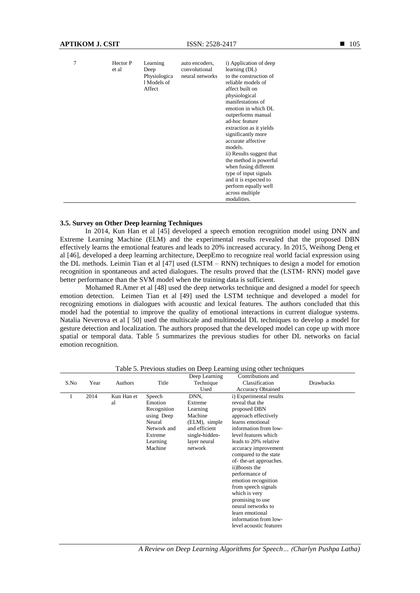| 7 | Hector P<br>et al | Learning<br>Deep<br>Physiologica<br>1 Models of<br>Affect | auto encoders.<br>convolutional<br>neural networks | i) Application of deep<br>learning (DL)<br>to the construction of<br>reliable models of<br>affect built on<br>physiological<br>manifestations of<br>emotion in which DL<br>outperforms manual<br>ad-hoc feature<br>extraction as it yields<br>significantly more<br>accurate affective<br>models.<br>ii) Results suggest that<br>the method is powerful.<br>when fusing different<br>type of input signals<br>and it is expected to<br>perform equally well<br>across multiple<br>modalities. |
|---|-------------------|-----------------------------------------------------------|----------------------------------------------------|-----------------------------------------------------------------------------------------------------------------------------------------------------------------------------------------------------------------------------------------------------------------------------------------------------------------------------------------------------------------------------------------------------------------------------------------------------------------------------------------------|
|---|-------------------|-----------------------------------------------------------|----------------------------------------------------|-----------------------------------------------------------------------------------------------------------------------------------------------------------------------------------------------------------------------------------------------------------------------------------------------------------------------------------------------------------------------------------------------------------------------------------------------------------------------------------------------|

## **3.5. Survey on Other Deep learning Techniques**

In 2014, Kun Han et al [45] developed a speech emotion recognition model using DNN and Extreme Learning Machine (ELM) and the experimental results revealed that the proposed DBN effectively learns the emotional features and leads to 20% increased accuracy. In 2015, Weihong Deng et al [46], developed a deep learning architecture, DeepEmo to recognize real world facial expression using the DL methods. Leimin Tian et al [47] used (LSTM – RNN) techniques to design a model for emotion recognition in spontaneous and acted dialogues. The results proved that the (LSTM- RNN) model gave better performance than the SVM model when the training data is sufficient.

Mohamed R.Amer et al [48] used the deep networks technique and designed a model for speech emotion detection. Leimen Tian et al [49] used the LSTM technique and developed a model for recognizing emotions in dialogues with acoustic and lexical features. The authors concluded that this model had the potential to improve the quality of emotional interactions in current dialogue systems. Natalia Neverova et al [ 50] used the multiscale and multimodal DL techniques to develop a model for gesture detection and localization. The authors proposed that the developed model can cope up with more spatial or temporal data. Table 5 summarizes the previous studies for other DL networks on facial emotion recognition.

|      |      |            |             | Deep Learning  | Contributions and       |                  |
|------|------|------------|-------------|----------------|-------------------------|------------------|
| S.No | Year | Authors    | Title       | Technique      | Classification          | <b>Drawbacks</b> |
|      |      |            |             | Used           | Accuracy Obtained       |                  |
|      | 2014 | Kun Han et | Speech      | DNN,           | i) Experimental results |                  |
|      |      | al         | Emotion     | Extreme        | reveal that the         |                  |
|      |      |            | Recognition | Learning       | proposed DBN            |                  |
|      |      |            | using Deep  | Machine        | approach effectively    |                  |
|      |      |            | Neural      | (ELM), simple  | learns emotional        |                  |
|      |      |            | Network and | and efficient  | information from low-   |                  |
|      |      |            | Extreme     | single-hidden- | level features which    |                  |
|      |      |            | Learning    | layer neural   | leads to 20% relative   |                  |
|      |      |            | Machine     | network        | accuracy improvement    |                  |
|      |      |            |             |                | compared to the state   |                  |
|      |      |            |             |                | of-the-art approaches.  |                  |
|      |      |            |             |                | ii)Boosts the           |                  |
|      |      |            |             |                | performance of          |                  |
|      |      |            |             |                | emotion recognition     |                  |
|      |      |            |             |                | from speech signals     |                  |
|      |      |            |             |                | which is very           |                  |
|      |      |            |             |                | promising to use        |                  |
|      |      |            |             |                | neural networks to      |                  |
|      |      |            |             |                | learn emotional         |                  |
|      |      |            |             |                | information from low-   |                  |
|      |      |            |             |                | level acoustic features |                  |

Table 5. Previous studies on Deep Learning using other techniques

*A Review on Deep Learning Algorithms for Speech… (Charlyn Pushpa Latha)*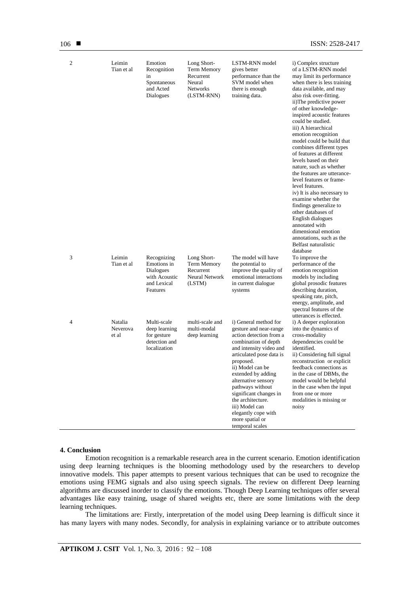| 2 | Leimin<br>Tian et al         | Emotion<br>Recognition<br>in<br>Spontaneous<br>and Acted<br>Dialogues               | Long Short-<br>Term Memory<br>Recurrent<br>Neural<br>Networks<br>(LSTM-RNN) | LSTM-RNN model<br>gives better<br>performance than the<br>SVM model when<br>there is enough<br>training data.                                                                                                                                                                                                                                                                             | i) Complex structure<br>of a LSTM-RNN model<br>may limit its performance<br>when there is less training<br>data available, and may<br>also risk over-fitting.<br>ii)The predictive power<br>of other knowledge-<br>inspired acoustic features<br>could be studied.<br>iii) A hierarchical<br>emotion recognition<br>model could be build that<br>combines different types<br>of features at different<br>levels based on their<br>nature, such as whether<br>the features are utterance-<br>level features or frame-<br>level features.<br>iv) It is also necessary to<br>examine whether the<br>findings generalize to<br>other databases of<br>English dialogues<br>annotated with<br>dimensional emotion<br>annotations, such as the<br>Belfast naturalistic<br>database |
|---|------------------------------|-------------------------------------------------------------------------------------|-----------------------------------------------------------------------------|-------------------------------------------------------------------------------------------------------------------------------------------------------------------------------------------------------------------------------------------------------------------------------------------------------------------------------------------------------------------------------------------|-----------------------------------------------------------------------------------------------------------------------------------------------------------------------------------------------------------------------------------------------------------------------------------------------------------------------------------------------------------------------------------------------------------------------------------------------------------------------------------------------------------------------------------------------------------------------------------------------------------------------------------------------------------------------------------------------------------------------------------------------------------------------------|
| 3 | Leimin<br>Tian et al         | Recognizing<br>Emotions in<br>Dialogues<br>with Acoustic<br>and Lexical<br>Features | Long Short-<br>Term Memory<br>Recurrent<br>Neural Network<br>(LSTM)         | The model will have<br>the potential to<br>improve the quality of<br>emotional interactions<br>in current dialogue<br>systems                                                                                                                                                                                                                                                             | To improve the<br>performance of the<br>emotion recognition<br>models by including<br>global prosodic features<br>describing duration,<br>speaking rate, pitch,<br>energy, amplitude, and<br>spectral features of the<br>utterances is effected.                                                                                                                                                                                                                                                                                                                                                                                                                                                                                                                            |
| 4 | Natalia<br>Neverova<br>et al | Multi-scale<br>deep learning<br>for gesture<br>detection and<br>localization        | multi-scale and<br>multi-modal<br>deep learning                             | i) General method for<br>gesture and near-range<br>action detection from a<br>combination of depth<br>and intensity video and<br>articulated pose data is<br>proposed.<br>ii) Model can be<br>extended by adding<br>alternative sensory<br>pathways without<br>significant changes in<br>the architecture.<br>iii) Model can<br>elegantly cope with<br>more spatial or<br>temporal scales | i) A deeper exploration<br>into the dynamics of<br>cross-modality<br>dependencies could be<br>identified.<br>ii) Considering full signal<br>reconstruction or explicit<br>feedback connections as<br>in the case of DBMs, the<br>model would be helpful<br>in the case when the input<br>from one or more<br>modalities is missing or<br>noisy                                                                                                                                                                                                                                                                                                                                                                                                                              |

## **4. Conclusion**

Emotion recognition is a remarkable research area in the current scenario. Emotion identification using deep learning techniques is the blooming methodology used by the researchers to develop innovative models. This paper attempts to present various techniques that can be used to recognize the emotions using FEMG signals and also using speech signals. The review on different Deep learning algorithms are discussed inorder to classify the emotions. Though Deep Learning techniques offer several advantages like easy training, usage of shared weights etc, there are some limitations with the deep learning techniques.

The limitations are: Firstly, interpretation of the model using Deep learning is difficult since it has many layers with many nodes. Secondly, for analysis in explaining variance or to attribute outcomes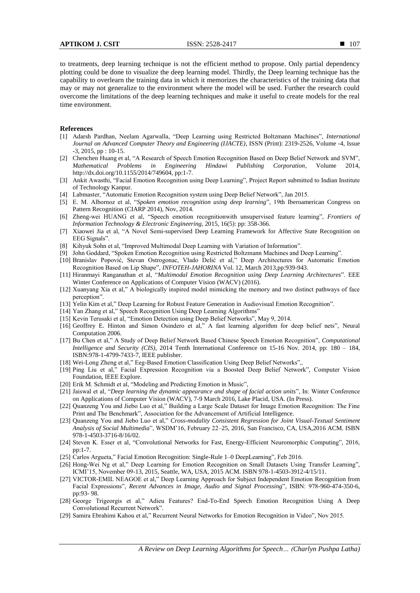to treatments, deep learning technique is not the efficient method to propose. Only partial dependency plotting could be done to visualize the deep learning model. Thirdly, the Deep learning technique has the capability to overlearn the training data in which it memorizes the characteristics of the training data that may or may not generalize to the environment where the model will be used. Further the research could overcome the limitations of the deep learning techniques and make it useful to create models for the real time environment.

## **References**

- [1] Adarsh Pardhan, Neelam Agarwalla, "Deep Learning using Restricted Boltzmann Machines", *International Journal on Advanced Computer Theory and Engineering (IJACTE)*, ISSN (Print): 2319-2526, Volume -4, Issue -3, 2015, pp : 10-15.
- [2] Chenchen Huang et al, "A Research of Speech Emotion Recognition Based on Deep Belief Network and SVM", *Mathematical Problems in Engineering Hindawi Publishing Corporation*, Volume 2014, http://dx.doi.org/10.1155/2014/749604, pp:1-7.
- [3] Ankit Awasthi, "Facial Emotion Recognition using Deep Learning", Project Report submitted to Indian Institute of Technology Kanpur.
- [4] Labmaster, "Automatic Emotion Recognition system using Deep Belief Network", Jan 2015.
- [5] E. M. Albornoz et al, "*Spoken emotion recognition using deep learning*", 19th Iberoamerican Congress on Pattern Recognition (CIARP 2014), Nov, 2014.
- [6] Zheng-wei HUANG et al, "Speech emotion recognitionwith unsupervised feature learning", *Frontiers of Information Technology & Electronic Engineering*, 2015, 16(5): pp: 358-366.
- [7] Xiaowei Jia et al, "A Novel Semi-supervised Deep Learning Framework for Affective State Recognition on EEG Signals".
- [8] Kihyuk Sohn et al, "Improved Multimodal Deep Learning with Variation of Information".
- [9] John Goddard, "Spoken Emotion Recognition using Restricted Boltzmann Machines and Deep Learning". [10] Branislav Popović, Stevan Ostrogonac, Vlado Delić et al," Deep Architectures for Automatic Emotion
- Recognition Based on Lip Shape", *INFOTEH-JAHORINA* Vol. 12, March 2013,pp:939-943. [11] Hiranmayi Ranganathan et al, "*Multimodal Emotion Recognition using Deep Learning Architectures*". EEE Winter Conference on Applications of Computer Vision (WACV) (2016).
- [12] Xuanyang Xia et al," A biologically inspired model mimicking the memory and two distinct pathways of face perception".
- [13] Yelin Kim et al," Deep Learning for Robust Feature Generation in Audiovisual Emotion Recognition".
- [14] Yan Zhang et al," Speech Recognition Using Deep Learning Algorithms"
- [15] Kevin Terusaki et al, "Emotion Detection using Deep Belief Networks", May 9, 2014.
- [16] Geoffrey E. Hinton and Simon Osindero et al," A fast learning algorithm for deep belief nets", Neural Computation 2006.
- [17] Bu Chen et al," A Study of Deep Belief Network Based Chinese Speech Emotion Recognition", *Computational Intelligence and Security (CIS)*, 2014 Tenth International Conference on 15-16 Nov. 2014, pp: 180 – 184, ISBN:978-1-4799-7433-7, IEEE publisher.
- [18] Wei-Long Zheng et al," Eeg-Based Emotion Classification Using Deep Belief Networks",.
- [19] Ping Liu et al," Facial Expression Recognition via a Boosted Deep Belief Network", Computer Vision Foundation, IEEE Explore.
- [20] Erik M. Schmidt et al, "Modeling and Predicting Emotion in Music",
- [21] Jaiswal et al, "*Deep learning the dynamic appearance and shape of facial action units*", In: Winter Conference on Applications of Computer Vision (WACV), 7-9 March 2016, Lake Placid, USA. (In Press).
- [22] Quanzeng You and Jiebo Luo et al," Building a Large Scale Dataset for Image Emotion Recognition: The Fine Print and The Benchmark", Association for the Advancement of Artificial Intelligence.
- [23] Quanzeng You and Jiebo Luo et al," *Cross-modality Consistent Regression for Joint Visual-Textual Sentiment Analysis of Social Multimedia*", WSDM"16, February 22–25, 2016, San Francisco, CA, USA,2016 ACM. ISBN 978-1-4503-3716-8/16/02.
- [24] Steven K. Esser et al, "Convolutional Networks for Fast, Energy-Efficient Neuromorphic Computing", 2016, pp:1-7.
- [25] Carlos Argueta," Facial Emotion Recognition: Single-Rule 1–0 DeepLearning", Feb 2016.
- [26] Hong-Wei Ng et al," Deep Learning for Emotion Recognition on Small Datasets Using Transfer Learning", ICMI"15, November 09-13, 2015, Seattle, WA, USA, 2015 ACM. ISBN 978-1-4503-3912-4/15/11.
- [27] VICTOR-EMIL NEAGOE et al," Deep Learning Approach for Subject Independent Emotion Recognition from Facial Expressions", *Recent Advances in Image, Audio and Signal Processing*", ISBN: 978-960-474-350-6, pp:93- 98.
- [28] George Trigeorgis et al," Adieu Features? End-To-End Speech Emotion Recognition Using A Deep Convolutional Recurrent Network".
- [29] Samira Ebrahimi Kahou et al," Recurrent Neural Networks for Emotion Recognition in Video", Nov 2015.